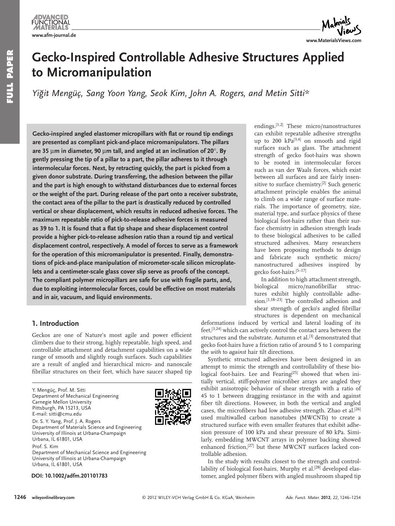

# **Gecko-Inspired Controllable Adhesive Structures Applied to Micromanipulation**

*Yig˘it Mengüç, Sang Yoon Yang, Seok Kim, John A. Rogers, and Metin Sitti\**

**Gecko-inspired angled elastomer micropillars with flat or round tip endings are presented as compliant pick-and-place micromanipulators. The pillars are 35** μ**m in diameter, 90** μ**m tall, and angled at an inclination of 20**°**. By gently pressing the tip of a pillar to a part, the pillar adheres to it through intermolecular forces. Next, by retracting quickly, the part is picked from a given donor substrate. During transferring, the adhesion between the pillar and the part is high enough to withstand disturbances due to external forces or the weight of the part. During release of the part onto a receiver substrate, the contact area of the pillar to the part is drastically reduced by controlled vertical or shear displacement, which results in reduced adhesive forces. The maximum repeatable ratio of pick-to-release adhesive forces is measured as 39 to 1. It is found that a flat tip shape and shear displacement control provide a higher pick-to-release adhesion ratio than a round tip and vertical displacement control, respectively. A model of forces to serve as a framework for the operation of this micromanipulator is presented. Finally, demonstrations of pick-and-place manipulation of micrometer-scale silicon microplatelets and a centimeter-scale glass cover slip serve as proofs of the concept. The compliant polymer micropillars are safe for use with fragile parts, and, due to exploiting intermolecular forces, could be effective on most materials and in air, vacuum, and liquid environments.**

# **1. Introduction**

Geckos are one of Nature's most agile and power efficient climbers due to their strong, highly repeatable, high speed, and controllable attachment and detachment capabilities on a wide range of smooth and slightly rough surfaces. Such capabilities are a result of angled and hierarchical micro- and nanoscale fibrillar structures on their feet, which have saucer shaped tip

Y. Mengüç, Prof. M. Sitti Department of Mechanical Engineering Carnegie Mellon University Pittsburgh, PA 15213, USA E-mail: sitti@cmu.edu



Dr. S. Y. Yang, Prof. J. A. Rogers Department of Materials Science and Engineering University of Illinois at Urbana-Champaign Urbana, IL 61801, USA

Prof. S. Kim Department of Mechanical Science and Engineering University of Illinois at Urbana-Champaign Urbana, IL 61801, USA

# **DOI: 10.1002/adfm.201101783**

endings.<sup>[1,2]</sup> These micro/nanostructures can exhibit repeatable adhesive strengths up to 200 kPa<a>[3,4]</a> on smooth and rigid surfaces such as glass. The attachment strength of gecko foot-hairs was shown to be rooted in intermolecular forces such as van der Waals forces, which exist between all surfaces and are fairly insensitive to surface chemistry.<sup>[2]</sup> Such generic attachment principle enables the animal to climb on a wide range of surface materials. The importance of geometry, size, material type, and surface physics of these biological foot-hairs rather than their surface chemistry in adhesion strength leads to these biological adhesives to be called structured adhesives. Many researchers have been proposing methods to design and fabricate such synthetic micro/ nanostructured adhesives inspired by gecko foot-hairs.[5–17]

In addition to high attachment strength, biological micro/nanofibrillar structures exhibit highly controllable adhesion.[1,18–23] The controlled adhesion and shear strength of gecko's angled fibrillar structures is dependent on mechanical

deformations induced by vertical and lateral loading of its feet,<sup>[3,24]</sup> which can actively control the contact area between the structures and the substrate. Autumn et al.<sup>[3]</sup> demonstrated that gecko foot-hairs have a friction ratio of around 5 to 1 comparing the *with* to *against* hair tilt directions.

Synthetic structured adhesives have been designed in an attempt to mimic the strength and controllability of these biological foot-hairs. Lee and Fearing<sup>[25]</sup> showed that when initially vertical, stiff-polymer microfiber arrays are angled they exhibit anisotropic behavior of shear strength with a ratio of 45 to 1 between dragging resistance in the with and against fiber tilt directions. However, in both the vertical and angled cases, the microfibers had low adhesive strength. Zhao et al.<sup>[26]</sup> used multiwalled carbon nanotubes (MWCNTs) to create a structured surface with even smaller features that exhibit adhesion pressure of 100 kPa and shear pressure of 80 kPa. Similarly, embedding MWCNT arrays in polymer backing showed enhanced friction,<sup>[27]</sup> but these MWCNT surfaces lacked controllable adhesion.

In the study with results closest to the strength and controllability of biological foot-hairs, Murphy et al.<sup>[28]</sup> developed elastomer, angled polymer fibers with angled mushroom shaped tip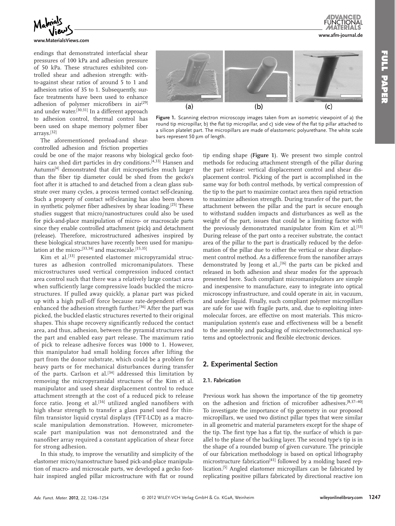**www.afm-journal.de**



**www.MaterialsViews.com**

endings that demonstrated interfacial shear pressures of 100 kPa and adhesion pressure of 50 kPa. These structures exhibited controlled shear and adhesion strength: withto-against shear ratios of around 5 to 1 and adhesion ratios of 35 to 1. Subsequently, surface treatments have been used to enhance adhesion of polymer microfibers in air<sup>[29]</sup> and under water.<sup>[30,31]</sup> In a different approach to adhesion control, thermal control has been used on shape memory polymer fiber arrays.[32]

The aforementioned preload-and shearcontrolled adhesion and friction properties

could be one of the major reasons why biological gecko foothairs can shed dirt particles in dry conditions.<sup>[4,33]</sup> Hansen and Autumn<sup>[4]</sup> demonstrated that dirt microparticles much larger than the fiber tip diameter could be shed from the gecko's foot after it is attached to and detached from a clean glass substrate over many cycles, a process termed contact self-cleaning. Such a property of contact self-cleaning has also been shown in synthetic polymer fiber adhesives by shear loading.<sup>[25]</sup> These studies suggest that micro/nanostructures could also be used for pick-and-place manipulation of micro- or macroscale parts since they enable controlled attachment (pick) and detachment (release). Therefore, microstructured adhesives inspired by these biological structures have recently been used for manipulation at the micro-<sup>[33,34]</sup> and macroscale.<sup>[15,35]</sup>

Kim et al.<sup>[33]</sup> presented elastomer micropyramidal structures as adhesion controlled micromanipulators. These microstructures used vertical compression induced contact area control such that there was a relatively large contact area when sufficiently large compressive loads buckled the microstructures. If pulled away quickly, a planar part was picked up with a high pull-off force because rate-dependent effects enhanced the adhesion strength further.<sup>[36]</sup> After the part was picked, the buckled elastic structures reverted to their original shapes. This shape recovery significantly reduced the contact area, and thus, adhesion, between the pyramid structures and the part and enabled easy part release. The maximum ratio of pick to release adhesive forces was 1000 to 1. However, this manipulator had small holding forces after lifting the part from the donor substrate, which could be a problem for heavy parts or for mechanical disturbances during transfer of the parts. Carlson et al.<sup>[34]</sup> addressed this limitation by removing the micropyramidal structures of the Kim et al. manipulator and used shear displacement control to reduce attachment strength at the cost of a reduced pick to release force ratio. Jeong et al.<sup>[16]</sup> utilized angled nanofibers with high shear strength to transfer a glass panel used for thinfilm transistor liquid crystal displays (TFT-LCD) as a macroscale manipulation demonstration. However, micrometerscale part manipulation was not demonstrated and the nanofiber array required a constant application of shear force for strong adhesion.

In this study, to improve the versatility and simplicity of the elastomer micro/nanostructure based pick-and-place manipulation of macro- and microscale parts, we developed a gecko foothair inspired angled pillar microstructure with flat or round



**Figure 1.** Scanning electron microscopy images taken from an isometric viewpoint of a) the round tip micropillar, b) the flat tip micropillar, and c) side view of the flat tip pillar attached to a silicon platelet part. The micropillars are made of elastomeric polyurethane. The white scale bars represent 50 μm of length.

tip ending shape (**Figure 1**). We present two simple control methods for reducing attachment strength of the pillar during the part release: vertical displacement control and shear displacement control. Picking of the part is accomplished in the same way for both control methods, by vertical compression of the tip to the part to maximize contact area then rapid retraction to maximize adhesion strength. During transfer of the part, the attachment between the pillar and the part is secure enough to withstand sudden impacts and disturbances as well as the weight of the part, issues that could be a limiting factor with the previously demonstrated manipulator from Kim et al.<sup>[33]</sup> During release of the part onto a receiver substrate, the contact area of the pillar to the part is drastically reduced by the deformation of the pillar due to either the vertical or shear displacement control method. As a difference from the nanofiber arrays demonstrated by Jeong et al.,<sup>[16]</sup> the parts can be picked and released in both adhesion and shear modes for the approach presented here. Such compliant micromanipulators are simple and inexpensive to manufacture, easy to integrate into optical microscopy infrastructure, and could operate in air, in vacuum, and under liquid. Finally, such compliant polymer micropillars are safe for use with fragile parts, and, due to exploiting intermolecular forces, are effective on most materials. This micromanipulation system's ease and effectiveness will be a benefit to the assembly and packaging of microelectromechanical systems and optoelectronic and flexible electronic devices.

#### **2. Experimental Section**

#### **2.1. Fabrication**

Previous work has shown the importance of the tip geometry on the adhesion and friction of microfiber adhesives.[8,37–40] To investigate the importance of tip geometry in our proposed micropillars, we used two distinct pillar types that were similar in all geometric and material parameters except for the shape of the tip. The first type has a flat tip, the surface of which is parallel to the plane of the backing layer. The second type's tip is in the shape of a rounded bump of given curvature. The principle of our fabrication methodology is based on optical lithography microstructure fabrication<sup>[41]</sup> followed by a molding based replication.<sup>[5]</sup> Angled elastomer micropillars can be fabricated by replicating positive pillars fabricated by directional reactive ion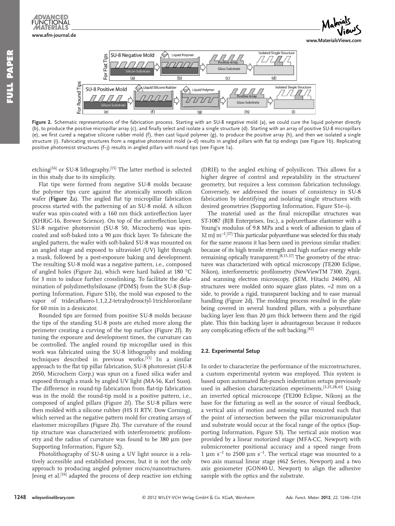

**Figure 2.** Schematic representations of the fabrication process. Starting with an SU-8 negative mold (a), we could cure the liquid polymer directly (b), to produce the positive micropillar array (c), and finally select and isolate a single structure (d). Starting with an array of positive SU-8 micropillars (e), we first cured a negative silicone rubber mold (f), then cast liquid polymer (g), to produce the positive array (h), and then we isolated a single structure (i). Fabricating structures from a negative photoresist mold (a–d) results in angled pillars with flat tip endings (see Figure 1b). Replicating positive photoresist structures (f–j) results in angled pillars with round tips (see Figure 1a).

etching<sup>[16]</sup> or SU-8 lithography.<sup>[15]</sup> The latter method is selected in this study due to its simplicity.

Flat tips were formed from negative SU-8 molds because the polymer tips cure against the atomically smooth silicon wafer (**Figure 2**a). The angled flat tip micropillar fabrication process started with the patterning of an SU-8 mold. A silicon wafer was spin-coated with a 160 nm thick antireflection layer (XHRiC-16, Brewer Science). On top of the antireflection layer, SU-8 negative photoresist (SU-8 50, Microchem) was spincoated and soft-baked into a 90 μm thick layer. To fabricate the angled pattern, the wafer with soft-baked SU-8 was mounted on an angled stage and exposed to ultraviolet (UV) light through a mask, followed by a post-exposure baking and development. The resulting SU-8 mold was a negative pattern, i.e., composed of angled holes (Figure 2a), which were hard baked at 180 °C for 3 min to induce further crosslinking. To facilitate the delamination of polydimethylsiloxane (PDMS) from the SU-8 (Supporting Information, Figure S1b), the mold was exposed to the vapor of tridecafluoro-1,1,2,2-tetrahydrooctyl-1trichlorosilane for 60 min in a dessicator.

Rounded tips are formed from positive SU-8 molds because the tips of the standing SU-8 posts are etched more along the perimeter creating a curving of the top surface (Figure 2f). By tuning the exposure and development times, the curvature can be controlled. The angled round tip micropillar used in this work was fabricated using the SU-8 lithography and molding techniques described in previous works.[15] In a similar approach to the flat tip pillar fabrication, SU-8 photoresist (SU-8 2050, Microchem Corp.) was spun on a fused silica wafer and exposed through a mask by angled UV light (MA-56, Karl Suss). The difference in round-tip fabrication from flat-tip fabrication was in the mold: the round-tip mold is a positive pattern, i.e., composed of angled pillars (Figure 2f). The SU-8 pillars were then molded with a silicone rubber (HS II RTV, Dow Corning), which served as the negative pattern mold for creating arrays of elastomer micropillars (Figure 2h). The curvature of the round tip structure was characterized with interferometric profilometry and the radius of curvature was found to be 380 μm (see Supporting Information, Figure S2).

Photolithography of SU-8 using a UV light source is a relatively accessible and established process, but it is not the only approach to producing angled polymer micro/nanostructures. Jeong et al.<sup>[16]</sup> adapted the process of deep reactive ion etching

(DRIE) to the angled etching of polysilicon. This allows for a higher degree of control and repeatability in the structures' geometry, but requires a less common fabrication technology. Conversely, we addressed the issues of consistency in SU-8 fabrication by identifying and isolating single structures with desired geometries (Supporting Information, Figure S1e–i).

The material used as the final micropillar structures was ST-1087 (BJB Enterprises, Inc.), a polyurethane elastomer with a Young's modulus of 9.8 MPa and a work of adhesion to glass of 32 mJ m<sup>-2</sup>.<sup>[37]</sup> This particular polyurethane was selected for this study for the same reasons it has been used in previous similar studies: because of its high tensile strength and high surface energy while remaining optically transparent.<sup>[8,15,37]</sup> The geometry of the structures was characterized with optical microscopy (TE200 Eclipse, Nikon), interforemetric profilometry (NewViewTM 7300, Zygo), and scanning electron microscopy, (SEM, Hitachi 2460N). All structures were molded onto square glass plates, ≈2 mm on a side, to provide a rigid, transparent backing and to ease manual handling (Figure 2d). The molding process resulted in the plate being covered in several hundred pillars, with a polyurethane backing layer less than 20 μm thick between them and the rigid plate. This thin backing layer is advantageous because it reduces any complicating effects of the soft backing.<sup>[42]</sup>

#### **2.2. Experimental Setup**

In order to characterize the performance of the microstructures, a custom experimental system was employed. This system is based upon automated flat-punch indentation setups previously used in adhesion characterization experiments.[3,25,28,43] Using an inverted optical microscope (TE200 Eclipse, Nikon) as the base for the fixturing as well as the source of visual feedback, a vertical axis of motion and sensing was mounted such that the point of intersection between the pillar micromanipulator and substrate would occur at the focal range of the optics (Supporting Information, Figure S3). The vertical axis motion was provided by a linear motorized stage (MFA-CC, Newport) with submicrometer positional accuracy and a speed range from 1 μm s<sup>-1</sup> to 2500 μm s<sup>-1</sup>. The vertical stage was mounted to a two axis manual linear stage (462 Series, Newport) and a two axis goniometer (GON40-U, Newport) to align the adhesive sample with the optics and the substrate.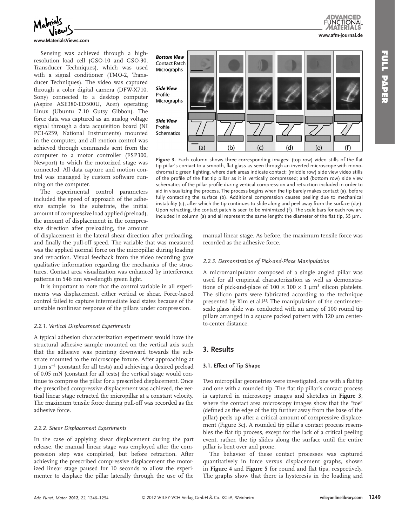

#### **www.MaterialsViews.com**

Sensing was achieved through a highresolution load cell (GSO-10 and GSO-30, Transducer Techniques), which was used with a signal conditioner (TMO-2, Transducer Techniques). The video was captured through a color digital camera (DFW-X710, Sony) connected to a desktop computer (Aspire ASE380-ED500U, Acer) operating Linux (Ubuntu 7.10 Gutsy Gibbon). The force data was captured as an analog voltage signal through a data acquisition board (NI PCI-6259, National Instruments) mounted in the computer, and all motion control was achieved through commands sent from the computer to a motor controller (ESP300, Newport) to which the motorized stage was connected. All data capture and motion control was managed by custom software running on the computer.

The experimental control parameters included the speed of approach of the adhesive sample to the substrate, the initial amount of compressive load applied (preload), the amount of displacement in the compressive direction after preloading, the amount

of displacement in the lateral shear direction after preloading, and finally the pull-off speed. The variable that was measured was the applied normal force on the micropillar during loading and retraction. Visual feedback from the video recording gave qualitative information regarding the mechanics of the structures. Contact area visualization was enhanced by interference patterns in 546 nm wavelength green light.

It is important to note that the control variable in all experiments was displacement, either vertical or shear. Force-based control failed to capture intermediate load states because of the unstable nonlinear response of the pillars under compression.

#### *2.2.1. Vertical Displacement Experiments*

A typical adhesion characterization experiment would have the structural adhesive sample mounted on the vertical axis such that the adhesive was pointing downward towards the substrate mounted to the microscope fixture. After approaching at 1 μm s−<sup>1</sup> (constant for all tests) and achieving a desired preload of 0.05 mN (constant for all tests) the vertical stage would continue to compress the pillar for a prescribed displacement. Once the prescribed compressive displacement was achieved, the vertical linear stage retracted the micropillar at a constant velocity. The maximum tensile force during pull-off was recorded as the adhesive force.

#### *2.2.2. Shear Displacement Experiments*

In the case of applying shear displacement during the part release, the manual linear stage was employed after the compression step was completed, but before retraction. After achieving the prescribed compressive displacement the motorized linear stage paused for 10 seconds to allow the experimenter to displace the pillar laterally through the use of the



**www.afm-journal.de**

**full**

**Figure 3.** Each column shows three corresponding images: (top row) video stills of the flat tip pillar's contact to a smooth, flat glass as seen through an inverted microscope with monochromatic green lighting, where dark areas indicate contact; (middle row) side view video stills of the profile of the flat tip pillar as it is vertically compressed; and (bottom row) side view schematics of the pillar profile during vertical compression and retraction included in order to aid in visualizing the process. The process begins when the tip barely makes contact (a), before fully contacting the surface (b). Additional compression causes peeling due to mechanical instability (c), after which the tip continues to slide along and peel away from the surface (d,e). Upon retracting, the contact patch is seen to be minimized (f). The scale bars for each row are included in column (a) and all represent the same length: the diameter of the flat tip, 35 μm.

manual linear stage. As before, the maximum tensile force was recorded as the adhesive force.

#### *2.2.3. Demonstration of Pick-and-Place Manipulation*

A micromanipulator composed of a single angled pillar was used for all empirical characterization as well as demonstrations of pick-and-place of  $100 \times 100 \times 3 \mu m^3$  silicon platelets. The silicon parts were fabricated according to the technique presented by Kim et al.<sup>[33]</sup> The manipulation of the centimeterscale glass slide was conducted with an array of 100 round tip pillars arranged in a square packed pattern with 120 μm centerto-center distance.

#### **3. Results**

#### **3.1. Effect of Tip Shape**

Two micropillar geometries were investigated, one with a flat tip and one with a rounded tip. The flat tip pillar's contact process is captured in microscopy images and sketches in **Figure 3**, where the contact area microscopy images show that the "toe" (defined as the edge of the tip further away from the base of the pillar) peels up after a critical amount of compressive displacement (Figure 3c). A rounded tip pillar's contact process resembles the flat tip process, except for the lack of a critical peeling event, rather, the tip slides along the surface until the entire pillar is bent over and prone.

The behavior of these contact processes was captured quantitatively in force versus displacement graphs, shown in **Figure 4** and **Figure 5** for round and flat tips, respectively. The graphs show that there is hysteresis in the loading and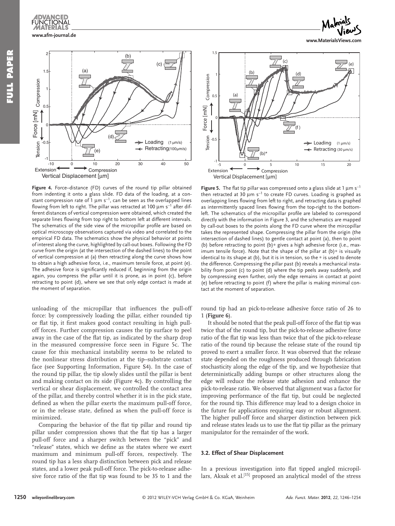



**Figure 4.** Force–distance (FD) curves of the round tip pillar obtained from indenting it onto a glass slide. FD data of the loading, at a constant compression rate of 1  $\mu$ m s<sup>-1</sup>, can be seen as the overlapped lines flowing from left to right. The pillar was retracted at 100  $\rm \mu m~s^{-1}$  after different distances of vertical compression were obtained, which created the separate lines flowing from top right to bottom left at different intervals. The schematics of the side view of the micropillar profile are based on optical microscopy observations captured via video and correlated to the empirical FD data. The schematics show the physical behavior at points of interest along the curve, highlighted by call-out boxes. Following the FD curve from the origin (at the intersection of the dashed lines) to the point of vertical compression at (a) then retracting along the curve shows how to obtain a high adhesive force, i.e., maximum tensile force, at point (e). The adhesive force is significantly reduced if, beginning from the origin again, you compress the pillar until it is prone, as in point (c), before retracting to point (d), where we see that only edge contact is made at the moment of separation.

unloading of the micropillar that influences the pull-off force: by compressively loading the pillar, either rounded tip or flat tip, it first makes good contact resulting in high pulloff forces. Further compression causes the tip surface to peel away in the case of the flat tip, as indicated by the sharp drop in the measured compressive force seen in Figure 5c. The cause for this mechanical instability seems to be related to the nonlinear stress distribution at the tip–substrate contact face (see Supporting Information, Figure S4). In the case of the round tip pillar, the tip slowly slides until the pillar is bent and making contact on its side (Figure 4c). By controlling the vertical or shear displacement, we controlled the contact area of the pillar, and thereby control whether it is in the pick state, defined as when the pillar exerts the maximum pull-off force, or in the release state, defined as when the pull-off force is minimized.

Comparing the behavior of the flat tip pillar and round tip pillar under compression shows that the flat tip has a larger pull-off force and a sharper switch between the "pick" and "release" states, which we define as the states where we exert maximum and minimum pull-off forces, respectively. The round tip has a less sharp distinction between pick and release states, and a lower peak pull-off force. The pick-to-release adhesive force ratio of the flat tip was found to be 35 to 1 and the



**Figure 5.** The flat tip pillar was compressed onto a glass slide at 1 μm s−<sup>1</sup> then retracted at 30 µm s<sup>-1</sup> to create FD curves. Loading is graphed as overlapping lines flowing from left to right, and retracting data is graphed as intermittently spaced lines flowing from the top-right to the bottomleft. The schematics of the micropillar profile are labeled to correspond directly with the information in Figure 3, and the schematics are mapped by call-out boxes to the points along the FD curve where the mircopillar takes the represented shape. Compressing the pillar from the origin (the intersection of dashed lines) to gentle contact at point (a), then to point (b) before retracting to point (b)\* gives a high adhesive force (i.e., max- $\lim_{h \to 0}$  tensile force). Note that the shape of the pillar at (b)\* is visually identical to its shape at (b), but it is in tension, so the \* is used to denote the difference. Compressing the pillar past (b) reveals a mechanical instability from point (c) to point (d) where the tip peels away suddenly, and by compressing even further, only the edge remains in contact at point (e) before retracting to point (f) where the pillar is making minimal contact at the moment of separation.

Vertical Displacement [µm]

Extension  $\leftarrow$   $\rightarrow$  Compression

Force [mN] compression

Force [mN]

Compression

ension

round tip had an pick-to-release adhesive force ratio of 26 to 1 (**Figure 6**).

It should be noted that the peak pull-off force of the flat tip was twice that of the round tip, but the pick-to-release adhesive force ratio of the flat tip was less than twice that of the pick-to-release ratio of the round tip because the release state of the round tip proved to exert a smaller force. It was observed that the release state depended on the roughness produced through fabrication stochasticity along the edge of the tip, and we hypothesize that deterministically adding bumps or other structures along the edge will reduce the release state adhesion and enhance the pick-to-release ratio. We observed that alignment was a factor for improving performance of the flat tip, but could be neglected for the round tip. This difference may lead to a design choice in the future for applications requiring easy or robust alignment. The higher pull-off force and sharper distinction between pick and release states leads us to use the flat tip pillar as the primary manipulator for the remainder of the work.

#### **3.2. Effect of Shear Displacement**

In a previous investigation into flat tipped angled micropillars, Aksak et al.<sup>[15]</sup> proposed an analytical model of the stress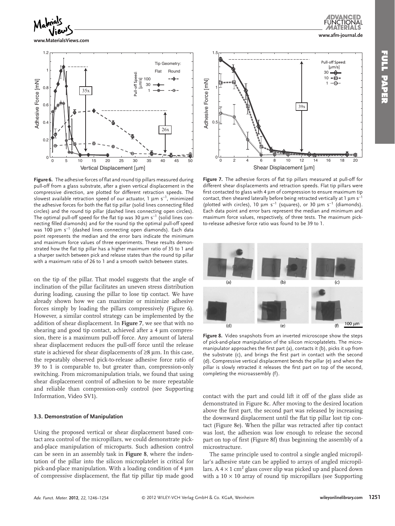

**www.MaterialsViews.com**



**Figure 6.** The adhesive forces of flat and round tip pillars measured during pull-off from a glass substrate, after a given vertical displacement in the compressive direction, are plotted for different retraction speeds. The slowest available retraction speed of our actuator, 1 μm s−<sup>1</sup> , minimized the adhesive forces for both the flat tip pillar (solid lines connecting filled circles) and the round tip pillar (dashed lines connecting open circles). The optimal pull-off speed for the flat tip was 30  $\mu$ m s<sup>-1</sup> (solid lines connecting filled diamonds) and for the round tip the optimal pull-off speed was 100 μm s<sup>-1</sup> (dashed lines connecting open diamonds). Each data point represents the median and the error bars indicate the minimum and maximum force values of three experiments. These results demonstrated how the flat tip pillar has a higher maximum ratio of 35 to 1 and a sharper switch between pick and release states than the round tip pillar with a maximum ratio of 26 to 1 and a smooth switch between states.

on the tip of the pillar. That model suggests that the angle of inclination of the pillar facilitates an uneven stress distribution during loading, causing the pillar to lose tip contact. We have already shown how we can maximize or minimize adhesive forces simply by loading the pillars compressively (Figure 6). However, a similar control strategy can be implemented by the addition of shear displacement. In **Figure 7**, we see that with no shearing and good tip contact, achieved after a 4 μm compression, there is a maximum pull-off force. Any amount of lateral shear displacement reduces the pull-off force until the release state is achieved for shear displacements of ≥8 μm. In this case, the repeatably observed pick-to-release adhesive force ratio of 39 to 1 is comparable to, but greater than, compression-only switching. From micromanipulation trials, we found that using shear displacement control of adhesion to be more repeatable and reliable than compression-only control (see Supporting Information, Video SV1).

#### **3.3. Demonstration of Manipulation**

Using the proposed vertical or shear displacement based contact area control of the micropillars, we could demonstrate pickand-place manipulation of microparts. Such adhesion control can be seen in an assembly task in **Figure 8**, where the indentation of the pillar into the silicon microplatelet is critical for pick-and-place manipulation. With a loading condition of 4 μm of compressive displacement, the flat tip pillar tip made good



**Figure 7.** The adhesive forces of flat tip pillars measured at pull-off for different shear displacements and retraction speeds. Flat tip pillars were first contacted to glass with 4 μm of compression to ensure maximum tip contact, then sheared laterally before being retracted vertically at 1 μm s−<sup>1</sup> (plotted with circles), 10  $\mu$ m s<sup>-1</sup> (squares), or 30  $\mu$ m s<sup>-1</sup> (diamonds). Each data point and error bars represent the median and minimum and maximum force values, respectively, of three tests. The maximum pickto-release adhesive force ratio was found to be 39 to 1.



**Figure 8.** Video snapshots from an inverted microscope show the steps of pick-and-place manipulation of the silicon microplatelets. The micromanipulator approaches the first part (a), contacts it (b), picks it up from the substrate (c), and brings the first part in contact with the second (d). Compressive vertical displacement bends the pillar (e) and when the pillar is slowly retracted it releases the first part on top of the second, completing the microassembly (f).

contact with the part and could lift it off of the glass slide as demonstrated in Figure 8c. After moving to the desired location above the first part, the second part was released by increasing the downward displacement until the flat tip pillar lost tip contact (Figure 8e). When the pillar was retracted after tip contact was lost, the adhesion was low enough to release the second part on top of first (Figure 8f) thus beginning the assembly of a microstructure.

The same principle used to control a single angled micropillar's adhesive state can be applied to arrays of angled micropillars. A  $4 \times 1$  cm<sup>2</sup> glass cover slip was picked up and placed down with a  $10 \times 10$  array of round tip micropillars (see Supporting

**www.afm-journal.de**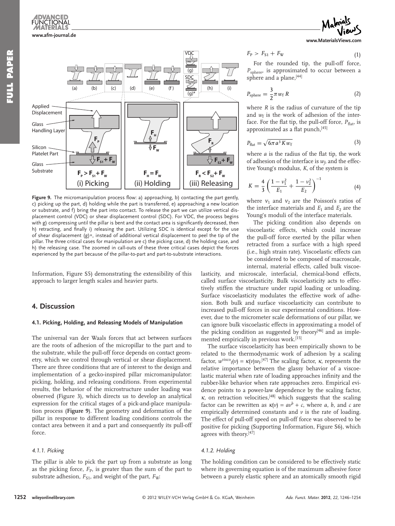# **www.afm-journal.de**



Figure 9. The micromanipulation process flow: a) approaching, b) contacting the part gently, c) picking up the part, d) holding while the part is transferred, e) approaching a new location or substrate, and f) bring the part into contact. To release the part we can utilize vertical displacement control (VDC) or shear displacement control (SDC). For VDC, the process begins with g) compressing until the pillar is bent and the contact area is significantly decreased, then h) retracting, and finally i) releasing the part. Utilizing SDC is identical except for the use of shear displacement (g)\*, instead of additional vertical displacement to peel the tip of the pillar. The three critical cases for manipulation are c) the picking case, d) the holding case, and h) the releasing case. The zoomed in call-outs of these three critical cases depict the forces experienced by the part because of the pillar-to-part and part-to-substrate interactions.

Information, Figure S5) demonstrating the extensibility of this approach to larger length scales and heavier parts.

#### **4. Discussion**

#### **4.1. Picking, Holding, and Releasing Models of Manipulation**

The universal van der Waals forces that act between surfaces are the roots of adhesion of the micropillar to the part and to the substrate, while the pull-off force depends on contact geometry, which we control through vertical or shear displacement. There are three conditions that are of interest to the design and implementation of a gecko-inspired pillar micromanipulator: picking, holding, and releasing conditions. From experimental results, the behavior of the microstructure under loading was observed (Figure 3), which directs us to develop an analytical expression for the critical stages of a pick-and-place manipulation process (**Figure 9**). The geometry and deformation of the pillar in response to different loading conditions controls the contact area between it and a part and consequently its pull-off force.

#### *4.1.1. Picking*

The pillar is able to pick the part up from a substrate as long as the picking force,  $F_{\rm P}$ , is greater than the sum of the part to substrate adhesion,  $F_{S1}$ , and weight of the part,  $F_{W}$ :



**www.MaterialsViews.com**

$$
F_{\rm P} > F_{\rm S1} + F_{\rm W} \tag{1}
$$

For the rounded tip, the pull-off force, *P*sphere, is approximated to occur between a sphere and a plane, [44]

$$
P_{\text{sphere}} = \frac{3}{2}\pi w_{\text{f}} R \tag{2}
$$

where *R* is the radius of curvature of the tip and  $w_f$  is the work of adhesion of the interface. For the flat tip, the pull-off force,  $P_{\text{flat}}$  is approximated as a flat punch, [45]

$$
P_{\text{flat}} = \sqrt{6\pi a^3 K w_{\text{f}}}
$$
 (3)

where *a* is the radius of the flat tip, the work of adhesion of the interface is  $w_f$  and the effective Young's modulus, *K*, of the system is

$$
K = \frac{4}{3} \left( \frac{1 - v_1^2}{E_1} + \frac{1 - v_2^2}{E_2} \right)^{-1}
$$
 (4)

where  $v_1$  and  $v_2$  are the Poisson's ratios of the interface materials and  $E_1$  and  $E_2$  are the Young's moduli of the interface materials.

The picking condition also depends on viscoelastic effects, which could increase the pull-off force exerted by the pillar when retracted from a surface with a high speed (i.e., high strain rate). Viscoelastic effects can be considered to be composed of macroscale, internal, material effects, called bulk viscoe-

lasticity, and microscale, interfacial, chemical-bond effects, called surface viscoelasticity. Bulk viscoelasticity acts to effectively stiffen the structure under rapid loading or unloading. Surface viscoelasticity modulates the effective work of adhesion. Both bulk and surface viscoelasticity can contribute to increased pull-off forces in our experimental conditions. However, due to the micrometer scale deformations of our pillar, we can ignore bulk viscoelastic effects in approximating a model of the picking condition as suggested by theory<sup>[46]</sup> and as implemented empirically in previous work.<sup>[15]</sup>

The surface viscoelasticity has been empirically shown to be related to the thermodynamic work of adhesion by a scaling factor,  $w^{\text{visco}}_{\text{f}}(\nu) = \kappa(\nu) w_{\text{f}}^{[47]}$  The scaling factor,  $\kappa$ , represents the relative importance between the glassy behavior of a viscoelastic material when rate of loading approaches infinity and the rubber-like behavior when rate approaches zero. Empirical evidence points to a power-law dependence by the scaling factor,  $\kappa$ , on retraction velocities,<sup>[48]</sup> which suggests that the scaling factor can be rewritten as  $\kappa(\nu) = a\nu^{b} + c$ , where *a*, *b*, and *c* are empirically determined constants and *v* is the rate of loading. The effect of pull-off speed on pull-off force was observed to be positive for picking (Supporting Information, Figure S6), which agrees with theory.[47]

#### *4.1.2. Holding*

The holding condition can be considered to be effectively static where its governing equation is of the maximum adhesive force between a purely elastic sphere and an atomically smooth rigid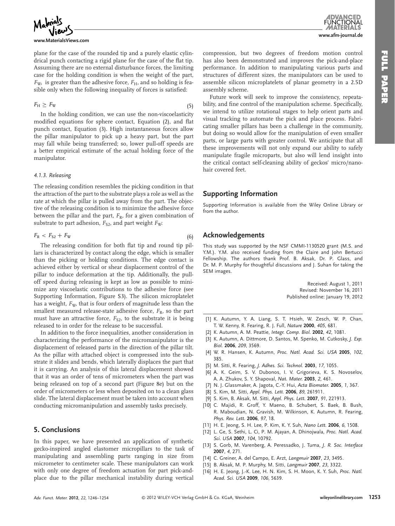

**www.MaterialsViews.com**

plane for the case of the rounded tip and a purely elastic cylindrical punch contacting a rigid plane for the case of the flat tip. Assuming there are no external disturbance forces, the limiting case for the holding condition is when the weight of the part,  $F_{W}$ , is greater than the adhesive force,  $F_{H}$ , and so holding is feasible only when the following inequality of forces is satisfied:

$$
F_{\rm H} \geq F_{\rm W} \tag{5}
$$

In the holding condition, we can use the non-viscoelasticity modified equations for sphere contact, Equation (2), and flat punch contact, Equation (3). High instantaneous forces allow the pillar manipulator to pick up a heavy part, but the part may fall while being transferred; so, lower pull-off speeds are a better empirical estimate of the actual holding force of the manipulator.

#### *4.1.3. Releasing*

The releasing condition resembles the picking condition in that the attraction of the part to the substrate plays a role as well as the rate at which the pillar is pulled away from the part. The objective of the releasing condition is to minimize the adhesive force between the pillar and the part,  $F_R$ , for a given combination of substrate to part adhesion,  $F_{S2}$ , and part weight  $F_{W}$ :

$$
F_{\rm R} < F_{\rm S2} + F_{\rm W} \tag{6}
$$

The releasing condition for both flat tip and round tip pillars is characterized by contact along the edge, which is smaller than the picking or holding conditions. The edge contact is achieved either by vertical or shear displacement control of the pillar to induce deformation at the tip. Additionally, the pulloff speed during releasing is kept as low as possible to minimize any viscoelastic contributions to the adhesive force (see Supporting Information, Figure S3). The silicon microplatelet has a weight,  $F_{\text{W}}$ , that is four orders of magnitude less than the smallest measured release-state adhesive force,  $F_R$ , so the part must have an attractive force,  $F_{S2}$ , to the substrate it is being released to in order for the release to be successful.

In addition to the force inequalities, another consideration in characterizing the performance of the micromanipulator is the displacement of released parts in the direction of the pillar tilt. As the pillar with attached object is compressed into the substrate it slides and bends, which laterally displaces the part that it is carrying. An analysis of this lateral displacement showed that it was an order of tens of micrometers when the part was being released on top of a second part (Figure 8e) but on the order of micrometers or less when deposited on to a clean glass slide. The lateral displacement must be taken into account when conducting micromanipulation and assembly tasks precisely.

#### **5. Conclusions**

In this paper, we have presented an application of synthetic gecko-inspired angled elastomer micropillars to the task of manipulating and assembling parts ranging in size from micrometer to centimeter scale. These manipulators can work with only one degree of freedom actuation for part pick-andplace due to the pillar mechanical instability during vertical **www.afm-journal.de**

compression, but two degrees of freedom motion control has also been demonstrated and improves the pick-and-place performance. In addition to manipulating various parts and structures of different sizes, the manipulators can be used to assemble silicon microplatelets of planar geometry in a 2.5D assembly scheme.

Future work will seek to improve the consistency, repeatability, and fine control of the manipulation scheme. Specifically, we intend to utilize rotational stages to help orient parts and visual tracking to automate the pick and place process. Fabricating smaller pillars has been a challenge in the community, but doing so would allow for the manipulation of even smaller parts, or large parts with greater control. We anticipate that all these improvements will not only expand our ability to safely manipulate fragile microparts, but also will lend insight into the critical contact self-cleaning ability of geckos' micro/nanohair covered feet.

## **Supporting Information**

Supporting Information is available from the Wiley Online Library or from the author.

## **Acknowledgements**

This study was supported by the NSF CMMI-1130520 grant (M.S. and Y.M.). Y.M. also received funding from the Claire and John Bertucci Fellowship. The authors thank Prof. B. Aksak, Dr. P. Glass, and Dr. M. P. Murphy for thoughtful discussions and J. Suhan for taking the SEM images.

> Received: August 1, 2011 Revised: November 16, 2011 Published online: January 19, 2012

- [1] K. Autumn, Y. A. Liang, S. T. Hsieh, W. Zesch, W. P. Chan, T. W. Kenny, R. Fearing, R. J. Full, *Nature* **2000**, *405*, 681.
- [2] K. Autumn, A. M. Peattie, *Integr. Comp. Biol.* **2002**, *42*, 1081.
- [3] K. Autumn, A. Dittmore, D. Santos, M. Spenko, M. Cutkosky, *J. Exp. Biol.* **2006**, *209*, 3569.
- [4] W. R. Hansen, K. Autumn, *Proc. Natl. Acad. Sci. USA* **2005**, *102*, 385.
- [5] M. Sitti, R. Fearing, *J. Adhes. Sci. Technol.* **2003**, *17*, 1055.
- [6] A. K. Geim, S. V. Dubonos, I. V. Grigorieva, K. S. Novoselov, A. A. Zhukov, S. Y. Shapoval, *Nat. Mater.* **2003**, *2*, 461.
- [7] N. J. Glassmaker, A. Jagota, C.-Y. Hui, *Acta Biomater.* **2005**, *1*, 367.
- [8] S. Kim, M. Sitti, *Appl. Phys. Lett.* **2006**, *89*, 261911.
- [9] S. Kim, B. Aksak, M. Sitti, *Appl. Phys. Lett.* **2007**, *91*, 221913.
- [10] C. Majidi, R. Groff, Y. Maeno, B. Schubert, S. Baek, B. Bush, R. Maboudian, N. Gravish, M. Wilkinson, K. Autumn, R. Fearing, *Phys. Rev. Lett.* **2006**, *97*, 18.
- [11] H. E. Jeong, S. H. Lee, P. Kim, K. Y. Suh, *Nano Lett.* **2006**, *6*, 1508.
- [12] L. Ge, S. Sethi, L. Ci, P. M. Ajayan, A. Dhinojwala, *Proc. Natl. Acad. Sci. USA* **2007**, *104*, 10792.
- [13] S. Gorb, M. Varenberg, A. Peressadko, J. Tuma, *J. R. Soc. Interface* **2007**, *4*, 271.
- [14] C. Greiner, A. del Campo, E. Arzt, *Langmuir* **2007**, *23*, 3495.
- [15] B. Aksak, M. P. Murphy, M. Sitti, *Langmuir* **2007**, *23*, 3322.
- [16] H. E. Jeong, J.-K. Lee, H. N. Kim, S. H. Moon, K. Y. Suh, *Proc. Natl. Acad. Sci. USA* **2009**, *106*, 5639.